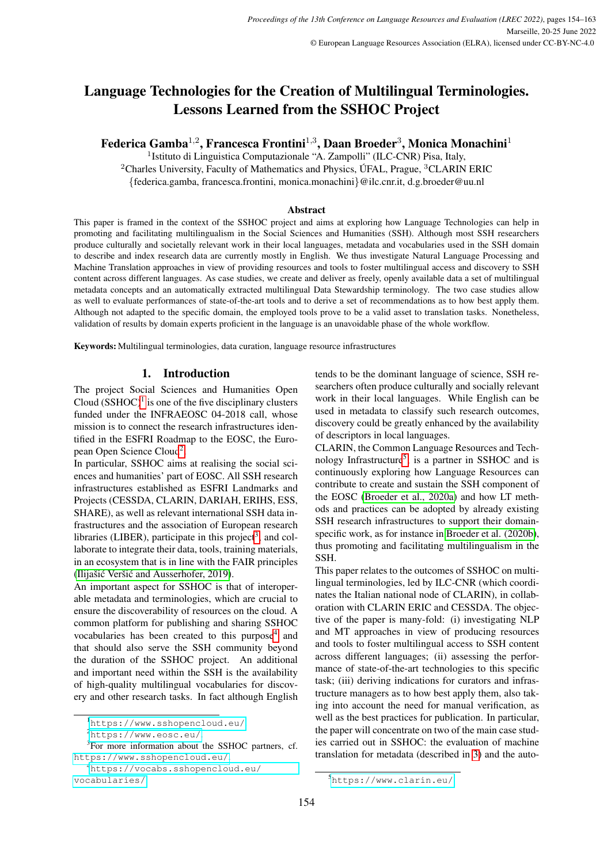# Language Technologies for the Creation of Multilingual Terminologies. Lessons Learned from the SSHOC Project

Federica Gamba $^{1,2}$ , Francesca Frontini $^{1,3}$ , Daan Broeder $^3$ , Monica Monachini $^1$ 

<sup>1</sup> Istituto di Linguistica Computazionale "A. Zampolli" (ILC-CNR) Pisa, Italy,

<sup>2</sup>Charles University, Faculty of Mathematics and Physics, UFAL, Prague,  ${}^{3}$ CLARIN ERIC

{federica.gamba, francesca.frontini, monica.monachini}@ilc.cnr.it, d.g.broeder@uu.nl

#### Abstract

This paper is framed in the context of the SSHOC project and aims at exploring how Language Technologies can help in promoting and facilitating multilingualism in the Social Sciences and Humanities (SSH). Although most SSH researchers produce culturally and societally relevant work in their local languages, metadata and vocabularies used in the SSH domain to describe and index research data are currently mostly in English. We thus investigate Natural Language Processing and Machine Translation approaches in view of providing resources and tools to foster multilingual access and discovery to SSH content across different languages. As case studies, we create and deliver as freely, openly available data a set of multilingual metadata concepts and an automatically extracted multilingual Data Stewardship terminology. The two case studies allow as well to evaluate performances of state-of-the-art tools and to derive a set of recommendations as to how best apply them. Although not adapted to the specific domain, the employed tools prove to be a valid asset to translation tasks. Nonetheless, validation of results by domain experts proficient in the language is an unavoidable phase of the whole workflow.

Keywords: Multilingual terminologies, data curation, language resource infrastructures

## 1. Introduction

The project Social Sciences and Humanities Open Cloud  $(SSHOC)^1$  $(SSHOC)^1$  is one of the five disciplinary clusters funded under the INFRAEOSC 04-2018 call, whose mission is to connect the research infrastructures identified in the ESFRI Roadmap to the EOSC, the Euro-pean Open Science Cloud<sup>[2](#page-0-1)</sup>.

In particular, SSHOC aims at realising the social sciences and humanities' part of EOSC. All SSH research infrastructures established as ESFRI Landmarks and Projects (CESSDA, CLARIN, DARIAH, ERIHS, ESS, SHARE), as well as relevant international SSH data infrastructures and the association of European research libraries (LIBER), participate in this project<sup>[3](#page-0-2)</sup>, and collaborate to integrate their data, tools, training materials, in an ecosystem that is in line with the FAIR principles (Ilijašić Veršić and Ausserhofer, 2019).

An important aspect for SSHOC is that of interoperable metadata and terminologies, which are crucial to ensure the discoverability of resources on the cloud. A common platform for publishing and sharing SSHOC vocabularies has been created to this purpose<sup>[4](#page-0-3)</sup> and that should also serve the SSH community beyond the duration of the SSHOC project. An additional and important need within the SSH is the availability of high-quality multilingual vocabularies for discovery and other research tasks. In fact although English

<span id="page-0-0"></span><sup>1</sup><https://www.sshopencloud.eu/>.

tends to be the dominant language of science, SSH researchers often produce culturally and socially relevant work in their local languages. While English can be used in metadata to classify such research outcomes, discovery could be greatly enhanced by the availability of descriptors in local languages.

CLARIN, the Common Language Resources and Tech-nology Infrastructure<sup>[5](#page-0-4)</sup>, is a partner in SSHOC and is continuously exploring how Language Resources can contribute to create and sustain the SSH component of the EOSC [\(Broeder et al., 2020a\)](#page-8-1) and how LT methods and practices can be adopted by already existing SSH research infrastructures to support their domainspecific work, as for instance in [Broeder et al. \(2020b\)](#page-8-2), thus promoting and facilitating multilingualism in the SSH.

This paper relates to the outcomes of SSHOC on multilingual terminologies, led by ILC-CNR (which coordinates the Italian national node of CLARIN), in collaboration with CLARIN ERIC and CESSDA. The objective of the paper is many-fold: (i) investigating NLP and MT approaches in view of producing resources and tools to foster multilingual access to SSH content across different languages; (ii) assessing the performance of state-of-the-art technologies to this specific task; (iii) deriving indications for curators and infrastructure managers as to how best apply them, also taking into account the need for manual verification, as well as the best practices for publication. In particular, the paper will concentrate on two of the main case studies carried out in SSHOC: the evaluation of machine translation for metadata (described in [3\)](#page-1-0) and the auto-

<span id="page-0-2"></span><span id="page-0-1"></span><sup>2</sup><https://www.eosc.eu/>.

<sup>&</sup>lt;sup>3</sup>For more information about the SSHOC partners, cf. <https://www.sshopencloud.eu/>.

<span id="page-0-3"></span><sup>4</sup>[https://vocabs.sshopencloud.eu/](https://vocabs.sshopencloud.eu/vocabularies/) [vocabularies/](https://vocabs.sshopencloud.eu/vocabularies/).

<span id="page-0-4"></span><sup>5</sup><https://www.clarin.eu/>.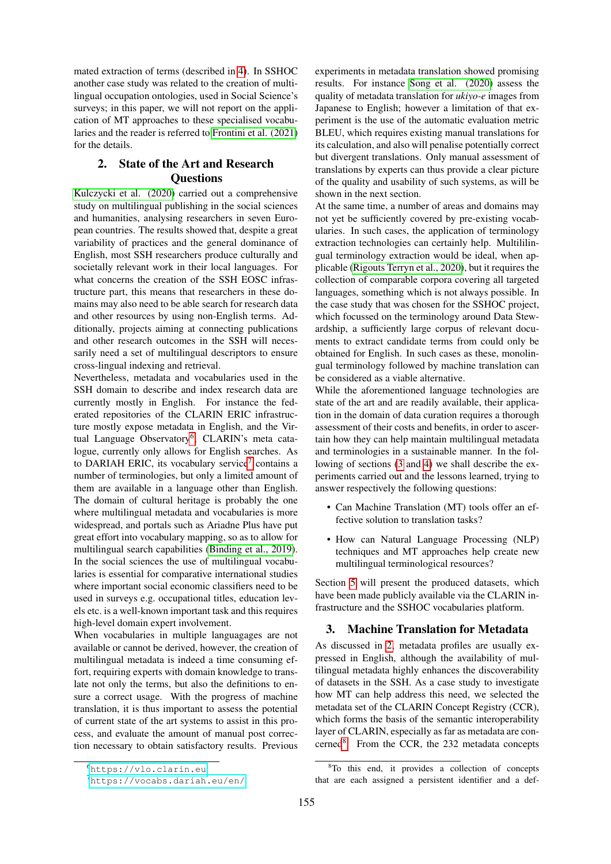mated extraction of terms (described in [4\)](#page-2-0). In SSHOC another case study was related to the creation of multilingual occupation ontologies, used in Social Science's surveys; in this paper, we will not report on the application of MT approaches to these specialised vocabularies and the reader is referred to [Frontini et al. \(2021\)](#page-8-3) for the details.

# <span id="page-1-3"></span>2. State of the Art and Research **Ouestions**

[Kulczycki et al. \(2020\)](#page-8-4) carried out a comprehensive study on multilingual publishing in the social sciences and humanities, analysing researchers in seven European countries. The results showed that, despite a great variability of practices and the general dominance of English, most SSH researchers produce culturally and societally relevant work in their local languages. For what concerns the creation of the SSH EOSC infrastructure part, this means that researchers in these domains may also need to be able search for research data and other resources by using non-English terms. Additionally, projects aiming at connecting publications and other research outcomes in the SSH will necessarily need a set of multilingual descriptors to ensure cross-lingual indexing and retrieval.

Nevertheless, metadata and vocabularies used in the SSH domain to describe and index research data are currently mostly in English. For instance the federated repositories of the CLARIN ERIC infrastructure mostly expose metadata in English, and the Vir-tual Language Observatory<sup>[6](#page-1-1)</sup>, CLARIN's meta catalogue, currently only allows for English searches. As to DARIAH ERIC, its vocabulary service<sup>[7](#page-1-2)</sup> contains a number of terminologies, but only a limited amount of them are available in a language other than English. The domain of cultural heritage is probably the one where multilingual metadata and vocabularies is more widespread, and portals such as Ariadne Plus have put great effort into vocabulary mapping, so as to allow for multilingual search capabilities [\(Binding et al., 2019\)](#page-8-5). In the social sciences the use of multilingual vocabularies is essential for comparative international studies where important social economic classifiers need to be used in surveys e.g. occupational titles, education levels etc. is a well-known important task and this requires high-level domain expert involvement.

When vocabularies in multiple languagages are not available or cannot be derived, however, the creation of multilingual metadata is indeed a time consuming effort, requiring experts with domain knowledge to translate not only the terms, but also the definitions to ensure a correct usage. With the progress of machine translation, it is thus important to assess the potential of current state of the art systems to assist in this process, and evaluate the amount of manual post correction necessary to obtain satisfactory results. Previous

experiments in metadata translation showed promising results. For instance [Song et al. \(2020\)](#page-8-6) assess the quality of metadata translation for *ukiyo-e* images from Japanese to English; however a limitation of that experiment is the use of the automatic evaluation metric BLEU, which requires existing manual translations for its calculation, and also will penalise potentially correct but divergent translations. Only manual assessment of translations by experts can thus provide a clear picture of the quality and usability of such systems, as will be shown in the next section.

At the same time, a number of areas and domains may not yet be sufficiently covered by pre-existing vocabularies. In such cases, the application of terminology extraction technologies can certainly help. Multililingual terminology extraction would be ideal, when applicable [\(Rigouts Terryn et al., 2020\)](#page-8-7), but it requires the collection of comparable corpora covering all targeted languages, something which is not always possible. In the case study that was chosen for the SSHOC project, which focussed on the terminology around Data Stewardship, a sufficiently large corpus of relevant documents to extract candidate terms from could only be obtained for English. In such cases as these, monolingual terminology followed by machine translation can be considered as a viable alternative.

While the aforementioned language technologies are state of the art and are readily available, their application in the domain of data curation requires a thorough assessment of their costs and benefits, in order to ascertain how they can help maintain multilingual metadata and terminologies in a sustainable manner. In the following of sections [\(3](#page-1-0) and [4\)](#page-2-0) we shall describe the experiments carried out and the lessons learned, trying to answer respectively the following questions:

- Can Machine Translation (MT) tools offer an effective solution to translation tasks?
- How can Natural Language Processing (NLP) techniques and MT approaches help create new multilingual terminological resources?

Section [5](#page-6-0) will present the produced datasets, which have been made publicly available via the CLARIN infrastructure and the SSHOC vocabularies platform.

# <span id="page-1-0"></span>3. Machine Translation for Metadata

As discussed in [2,](#page-1-3) metadata profiles are usually expressed in English, although the availability of multilingual metadata highly enhances the discoverability of datasets in the SSH. As a case study to investigate how MT can help address this need, we selected the metadata set of the CLARIN Concept Registry (CCR), which forms the basis of the semantic interoperability layer of CLARIN, especially as far as metadata are con-cerned<sup>[8](#page-1-4)</sup>. From the CCR, the 232 metadata concepts

<span id="page-1-1"></span><sup>6</sup><https://vlo.clarin.eu>.

<span id="page-1-2"></span><sup>7</sup><https://vocabs.dariah.eu/en/>.

<span id="page-1-4"></span><sup>&</sup>lt;sup>8</sup>To this end, it provides a collection of concepts that are each assigned a persistent identifier and a def-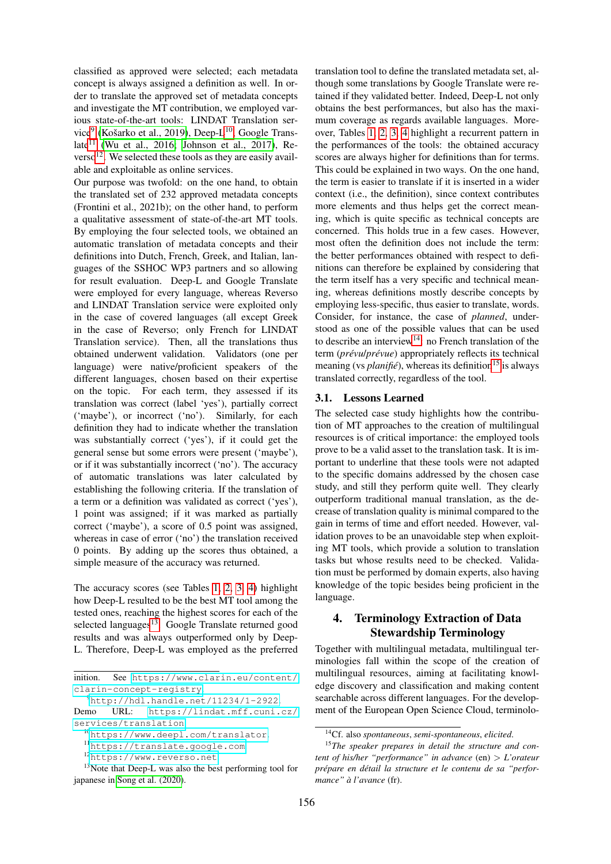classified as approved were selected; each metadata concept is always assigned a definition as well. In order to translate the approved set of metadata concepts and investigate the MT contribution, we employed various state-of-the-art tools: LINDAT Translation ser-vice<sup>[9](#page-2-1)</sup> (Košarko et al., 2019), Deep-L<sup>[10](#page-2-2)</sup>, Google Trans-late<sup>[11](#page-2-3)</sup> [\(Wu et al., 2016;](#page-8-9) [Johnson et al., 2017\)](#page-8-10), Re- $verso<sup>12</sup>$  $verso<sup>12</sup>$  $verso<sup>12</sup>$ . We selected these tools as they are easily available and exploitable as online services.

Our purpose was twofold: on the one hand, to obtain the translated set of 232 approved metadata concepts (Frontini et al., 2021b); on the other hand, to perform a qualitative assessment of state-of-the-art MT tools. By employing the four selected tools, we obtained an automatic translation of metadata concepts and their definitions into Dutch, French, Greek, and Italian, languages of the SSHOC WP3 partners and so allowing for result evaluation. Deep-L and Google Translate were employed for every language, whereas Reverso and LINDAT Translation service were exploited only in the case of covered languages (all except Greek in the case of Reverso; only French for LINDAT Translation service). Then, all the translations thus obtained underwent validation. Validators (one per language) were native/proficient speakers of the different languages, chosen based on their expertise on the topic. For each term, they assessed if its translation was correct (label 'yes'), partially correct ('maybe'), or incorrect ('no'). Similarly, for each definition they had to indicate whether the translation was substantially correct ('yes'), if it could get the general sense but some errors were present ('maybe'), or if it was substantially incorrect ('no'). The accuracy of automatic translations was later calculated by establishing the following criteria. If the translation of a term or a definition was validated as correct ('yes'), 1 point was assigned; if it was marked as partially correct ('maybe'), a score of 0.5 point was assigned, whereas in case of error ('no') the translation received 0 points. By adding up the scores thus obtained, a simple measure of the accuracy was returned.

The accuracy scores (see Tables [1,](#page-3-0) [2,](#page-3-1) [3,](#page-4-0) [4\)](#page-4-1) highlight how Deep-L resulted to be the best MT tool among the tested ones, reaching the highest scores for each of the selected languages $13$ . Google Translate returned good results and was always outperformed only by Deep-L. Therefore, Deep-L was employed as the preferred

<sup>13</sup>Note that Deep-L was also the best performing tool for japanese in [Song et al. \(2020\)](#page-8-6).

translation tool to define the translated metadata set, although some translations by Google Translate were retained if they validated better. Indeed, Deep-L not only obtains the best performances, but also has the maximum coverage as regards available languages. Moreover, Tables [1,](#page-3-0) [2,](#page-3-1) [3,](#page-4-0) [4](#page-4-1) highlight a recurrent pattern in the performances of the tools: the obtained accuracy scores are always higher for definitions than for terms. This could be explained in two ways. On the one hand, the term is easier to translate if it is inserted in a wider context (i.e., the definition), since context contributes more elements and thus helps get the correct meaning, which is quite specific as technical concepts are concerned. This holds true in a few cases. However, most often the definition does not include the term: the better performances obtained with respect to definitions can therefore be explained by considering that the term itself has a very specific and technical meaning, whereas definitions mostly describe concepts by employing less-specific, thus easier to translate, words. Consider, for instance, the case of *planned*, understood as one of the possible values that can be used to describe an interview<sup>[14](#page-2-6)</sup>: no French translation of the term (*prévulprévue*) appropriately reflects its technical meaning (vs  $\text{planif}(\hat{e})$ , whereas its definition<sup>[15](#page-2-7)</sup> is always translated correctly, regardless of the tool.

# <span id="page-2-8"></span>3.1. Lessons Learned

The selected case study highlights how the contribution of MT approaches to the creation of multilingual resources is of critical importance: the employed tools prove to be a valid asset to the translation task. It is important to underline that these tools were not adapted to the specific domains addressed by the chosen case study, and still they perform quite well. They clearly outperform traditional manual translation, as the decrease of translation quality is minimal compared to the gain in terms of time and effort needed. However, validation proves to be an unavoidable step when exploiting MT tools, which provide a solution to translation tasks but whose results need to be checked. Validation must be performed by domain experts, also having knowledge of the topic besides being proficient in the language.

# <span id="page-2-0"></span>4. Terminology Extraction of Data Stewardship Terminology

Together with multilingual metadata, multilingual terminologies fall within the scope of the creation of multilingual resources, aiming at facilitating knowledge discovery and classification and making content searchable across different languages. For the development of the European Open Science Cloud, terminolo-

inition. See [https://www.clarin.eu/content/](https://www.clarin.eu/content/clarin-concept-registry) [clarin-concept-registry](https://www.clarin.eu/content/clarin-concept-registry).

<span id="page-2-1"></span> $^{9}$ <http://hdl.handle.net/11234/1-2922>.

Demo URL: [https://lindat.mff.cuni.cz/](https://lindat.mff.cuni.cz/services/translation) [services/translation](https://lindat.mff.cuni.cz/services/translation).

<span id="page-2-2"></span><sup>10</sup><https://www.deepl.com/translator>.

<span id="page-2-3"></span><sup>11</sup><https://translate.google.com>.

<span id="page-2-5"></span><span id="page-2-4"></span><sup>12</sup><https://www.reverso.net>.

<span id="page-2-7"></span><span id="page-2-6"></span><sup>14</sup>Cf. also *spontaneous*, *semi-spontaneous*, *elicited*.

<sup>15</sup>*The speaker prepares in detail the structure and content of his/her "performance" in advance* (en) > *L'orateur prepare en d ´ etail la structure et le contenu de sa "perfor- ´ mance" a l'avance `* (fr).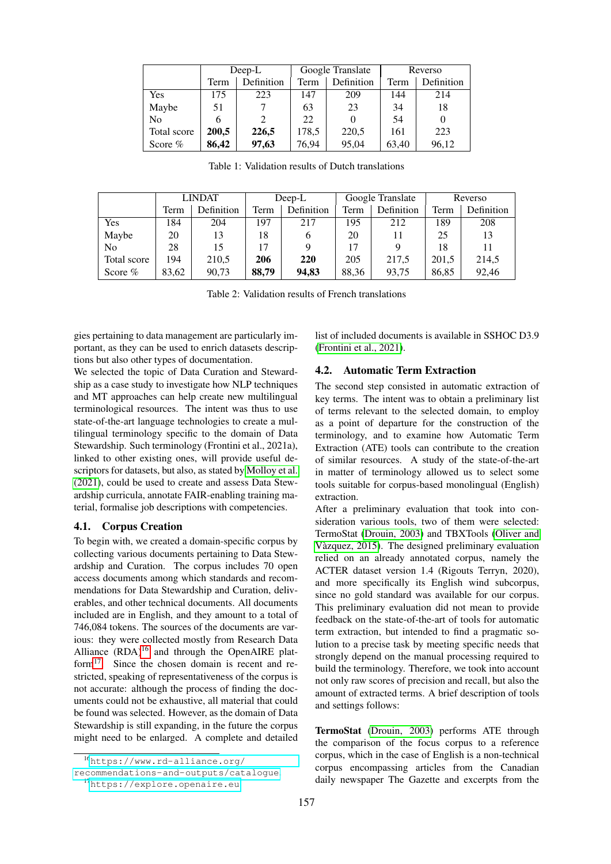|             | $Deep-L$ |            | Google Translate |            | Reverso |            |
|-------------|----------|------------|------------------|------------|---------|------------|
|             | Term     | Definition | Term             | Definition | Term    | Definition |
| Yes         | 175      | 223        | 147              | 209        | 144     | 214        |
| Maybe       | 51       |            | 63               | 23         | 34      | 18         |
| No          |          |            | 22               | $\theta$   | 54      |            |
| Total score | 200,5    | 226,5      | 178,5            | 220,5      | 161     | 223        |
| Score $%$   | 86,42    | 97,63      | 76,94            | 95,04      | 63,40   | 96,12      |

<span id="page-3-0"></span>Table 1: Validation results of Dutch translations

|             | <b>LINDAT</b> |            | $Deep-L$ |            | Google Translate |            | Reverso |                   |
|-------------|---------------|------------|----------|------------|------------------|------------|---------|-------------------|
|             | Term          | Definition | Term     | Definition | Term             | Definition | Term    | <b>Definition</b> |
| Yes         | 184           | 204        | 197      | 217        | 195              | 212        | 189     | 208               |
| Maybe       | 20            | 13         | 18       | 6          | 20               |            | 25      | 13                |
| No          | 28            | 15         | 17       |            | 17               | 9          | 18      | 11                |
| Total score | 194           | 210,5      | 206      | 220        | 205              | 217.5      | 201,5   | 214,5             |
| Score $%$   | 83,62         | 90,73      | 88,79    | 94,83      | 88,36            | 93,75      | 86,85   | 92,46             |

<span id="page-3-1"></span>Table 2: Validation results of French translations

gies pertaining to data management are particularly important, as they can be used to enrich datasets descriptions but also other types of documentation.

We selected the topic of Data Curation and Stewardship as a case study to investigate how NLP techniques and MT approaches can help create new multilingual terminological resources. The intent was thus to use state-of-the-art language technologies to create a multilingual terminology specific to the domain of Data Stewardship. Such terminology (Frontini et al., 2021a), linked to other existing ones, will provide useful descriptors for datasets, but also, as stated by [Molloy et al.](#page-8-11) [\(2021\)](#page-8-11), could be used to create and assess Data Stewardship curricula, annotate FAIR-enabling training material, formalise job descriptions with competencies.

#### 4.1. Corpus Creation

To begin with, we created a domain-specific corpus by collecting various documents pertaining to Data Stewardship and Curation. The corpus includes 70 open access documents among which standards and recommendations for Data Stewardship and Curation, deliverables, and other technical documents. All documents included are in English, and they amount to a total of 746,084 tokens. The sources of the documents are various: they were collected mostly from Research Data Alliance  $(RDA)^{16}$  $(RDA)^{16}$  $(RDA)^{16}$  and through the OpenAIRE plat-form<sup>[17](#page-3-3)</sup>. Since the chosen domain is recent and restricted, speaking of representativeness of the corpus is not accurate: although the process of finding the documents could not be exhaustive, all material that could be found was selected. However, as the domain of Data Stewardship is still expanding, in the future the corpus might need to be enlarged. A complete and detailed

<span id="page-3-3"></span>[recommendations-and-outputs/catalogue](https://www.rd-alliance.org/recommendations-and-outputs/catalogue). <sup>17</sup><https://explore.openaire.eu>.

list of included documents is available in SSHOC D3.9 [\(Frontini et al., 2021\)](#page-8-3).

#### 4.2. Automatic Term Extraction

The second step consisted in automatic extraction of key terms. The intent was to obtain a preliminary list of terms relevant to the selected domain, to employ as a point of departure for the construction of the terminology, and to examine how Automatic Term Extraction (ATE) tools can contribute to the creation of similar resources. A study of the state-of-the-art in matter of terminology allowed us to select some tools suitable for corpus-based monolingual (English) extraction.

After a preliminary evaluation that took into consideration various tools, two of them were selected: TermoStat [\(Drouin, 2003\)](#page-8-12) and TBXTools [\(Oliver and](#page-8-13) [Vazquez, 2015\)](#page-8-13). The designed preliminary evaluation ` relied on an already annotated corpus, namely the ACTER dataset version 1.4 (Rigouts Terryn, 2020), and more specifically its English wind subcorpus, since no gold standard was available for our corpus. This preliminary evaluation did not mean to provide feedback on the state-of-the-art of tools for automatic term extraction, but intended to find a pragmatic solution to a precise task by meeting specific needs that strongly depend on the manual processing required to build the terminology. Therefore, we took into account not only raw scores of precision and recall, but also the amount of extracted terms. A brief description of tools and settings follows:

TermoStat [\(Drouin, 2003\)](#page-8-12) performs ATE through the comparison of the focus corpus to a reference corpus, which in the case of English is a non-technical corpus encompassing articles from the Canadian daily newspaper The Gazette and excerpts from the

<span id="page-3-2"></span><sup>16</sup>[https://www.rd-alliance.org/](https://www.rd-alliance.org/recommendations-and-outputs/catalogue)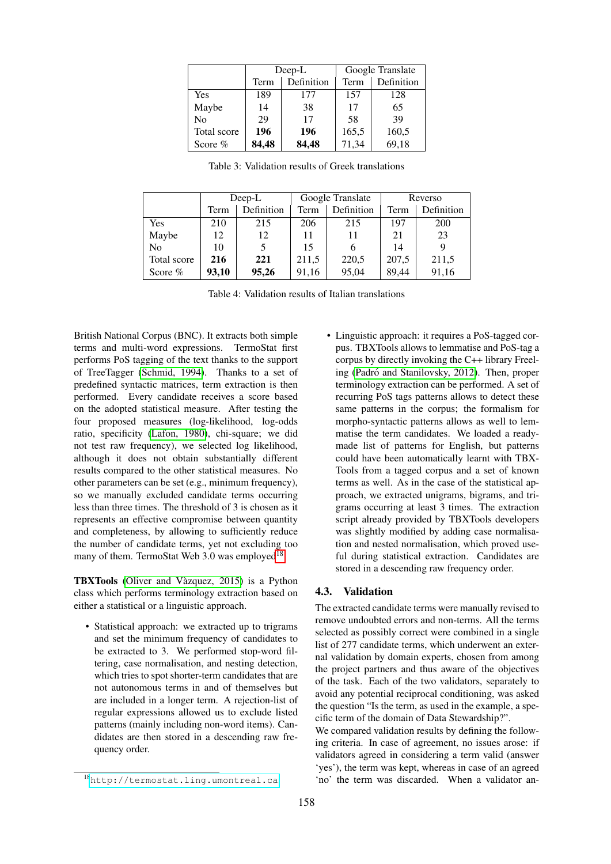|             |                    | Deep-L | Google Translate |            |  |
|-------------|--------------------|--------|------------------|------------|--|
|             | Definition<br>Term |        | <b>Term</b>      | Definition |  |
| Yes         | 189                | 177    | 157              | 128        |  |
| Maybe       | 14                 | 38     | 17               | 65         |  |
| No          | 29                 | 17     | 58               | 39         |  |
| Total score | 196                | 196    | 165,5            | 160,5      |  |
| Score $%$   | 84,48              | 84,48  | 71,34            | 69,18      |  |

<span id="page-4-0"></span>Table 3: Validation results of Greek translations

|                | $Deep-L$ |            | Google Translate |            | Reverso |            |
|----------------|----------|------------|------------------|------------|---------|------------|
|                | Term     | Definition | Term             | Definition | Term    | Definition |
| Yes            | 210      | 215        | 206              | 215        | 197     | 200        |
| Maybe          | 12       | 12         | 11               | 11         | 21      | 23         |
| N <sub>0</sub> | 10       |            | 15               | 6          | 14      |            |
| Total score    | 216      | 221        | 211,5            | 220,5      | 207,5   | 211,5      |
| Score $%$      | 93,10    | 95,26      | 91,16            | 95,04      | 89,44   | 91,16      |

<span id="page-4-1"></span>Table 4: Validation results of Italian translations

British National Corpus (BNC). It extracts both simple terms and multi-word expressions. TermoStat first performs PoS tagging of the text thanks to the support of TreeTagger [\(Schmid, 1994\)](#page-8-14). Thanks to a set of predefined syntactic matrices, term extraction is then performed. Every candidate receives a score based on the adopted statistical measure. After testing the four proposed measures (log-likelihood, log-odds ratio, specificity [\(Lafon, 1980\)](#page-8-15), chi-square; we did not test raw frequency), we selected log likelihood, although it does not obtain substantially different results compared to the other statistical measures. No other parameters can be set (e.g., minimum frequency), so we manually excluded candidate terms occurring less than three times. The threshold of 3 is chosen as it represents an effective compromise between quantity and completeness, by allowing to sufficiently reduce the number of candidate terms, yet not excluding too many of them. TermoStat Web 3.0 was employed<sup>[18](#page-4-2)</sup>.

TBXTools [\(Oliver and Vazquez, 2015\)](#page-8-13) is a Python ` class which performs terminology extraction based on either a statistical or a linguistic approach.

• Statistical approach: we extracted up to trigrams and set the minimum frequency of candidates to be extracted to 3. We performed stop-word filtering, case normalisation, and nesting detection, which tries to spot shorter-term candidates that are not autonomous terms in and of themselves but are included in a longer term. A rejection-list of regular expressions allowed us to exclude listed patterns (mainly including non-word items). Candidates are then stored in a descending raw frequency order.

• Linguistic approach: it requires a PoS-tagged corpus. TBXTools allows to lemmatise and PoS-tag a corpus by directly invoking the C++ library Freeling (Padró and Stanilovsky, 2012). Then, proper terminology extraction can be performed. A set of recurring PoS tags patterns allows to detect these same patterns in the corpus; the formalism for morpho-syntactic patterns allows as well to lemmatise the term candidates. We loaded a readymade list of patterns for English, but patterns could have been automatically learnt with TBX-Tools from a tagged corpus and a set of known terms as well. As in the case of the statistical approach, we extracted unigrams, bigrams, and trigrams occurring at least 3 times. The extraction script already provided by TBXTools developers was slightly modified by adding case normalisation and nested normalisation, which proved useful during statistical extraction. Candidates are stored in a descending raw frequency order.

#### 4.3. Validation

The extracted candidate terms were manually revised to remove undoubted errors and non-terms. All the terms selected as possibly correct were combined in a single list of 277 candidate terms, which underwent an external validation by domain experts, chosen from among the project partners and thus aware of the objectives of the task. Each of the two validators, separately to avoid any potential reciprocal conditioning, was asked the question "Is the term, as used in the example, a specific term of the domain of Data Stewardship?".

We compared validation results by defining the following criteria. In case of agreement, no issues arose: if validators agreed in considering a term valid (answer 'yes'), the term was kept, whereas in case of an agreed 'no' the term was discarded. When a validator an-

<span id="page-4-2"></span><sup>18</sup><http://termostat.ling.umontreal.ca>.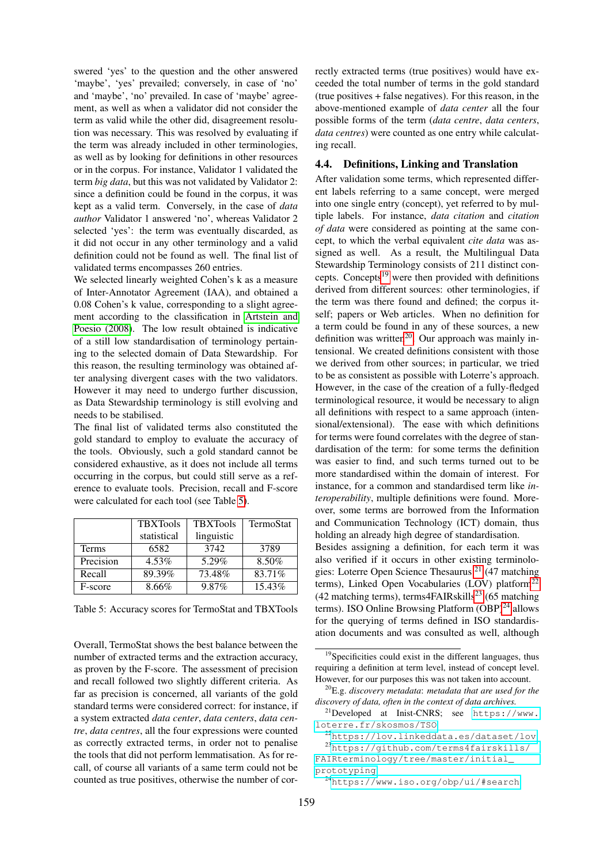swered 'yes' to the question and the other answered 'maybe', 'yes' prevailed; conversely, in case of 'no' and 'maybe', 'no' prevailed. In case of 'maybe' agreement, as well as when a validator did not consider the term as valid while the other did, disagreement resolution was necessary. This was resolved by evaluating if the term was already included in other terminologies, as well as by looking for definitions in other resources or in the corpus. For instance, Validator 1 validated the term *big data*, but this was not validated by Validator 2: since a definition could be found in the corpus, it was kept as a valid term. Conversely, in the case of *data author* Validator 1 answered 'no', whereas Validator 2 selected 'yes': the term was eventually discarded, as it did not occur in any other terminology and a valid definition could not be found as well. The final list of validated terms encompasses 260 entries.

We selected linearly weighted Cohen's k as a measure of Inter-Annotator Agreement (IAA), and obtained a 0.08 Cohen's k value, corresponding to a slight agreement according to the classification in [Artstein and](#page-8-17) [Poesio \(2008\)](#page-8-17). The low result obtained is indicative of a still low standardisation of terminology pertaining to the selected domain of Data Stewardship. For this reason, the resulting terminology was obtained after analysing divergent cases with the two validators. However it may need to undergo further discussion, as Data Stewardship terminology is still evolving and needs to be stabilised.

The final list of validated terms also constituted the gold standard to employ to evaluate the accuracy of the tools. Obviously, such a gold standard cannot be considered exhaustive, as it does not include all terms occurring in the corpus, but could still serve as a reference to evaluate tools. Precision, recall and F-score were calculated for each tool (see Table [5\)](#page-5-0).

|              | <b>TBXTools</b> | <b>TBXTools</b> | TermoStat |
|--------------|-----------------|-----------------|-----------|
|              | statistical     | linguistic      |           |
| <b>Terms</b> | 6582            | 3742            | 3789      |
| Precision    | $4.53\%$        | $5.29\%$        | $8.50\%$  |
| Recall       | 89.39%          | 73.48%          | 83.71%    |
| F-score      | 8.66%           | 9.87%           | 15.43%    |

<span id="page-5-0"></span>Table 5: Accuracy scores for TermoStat and TBXTools

Overall, TermoStat shows the best balance between the number of extracted terms and the extraction accuracy, as proven by the F-score. The assessment of precision and recall followed two slightly different criteria. As far as precision is concerned, all variants of the gold standard terms were considered correct: for instance, if a system extracted *data center*, *data centers*, *data centre*, *data centres*, all the four expressions were counted as correctly extracted terms, in order not to penalise the tools that did not perform lemmatisation. As for recall, of course all variants of a same term could not be counted as true positives, otherwise the number of correctly extracted terms (true positives) would have exceeded the total number of terms in the gold standard (true positives + false negatives). For this reason, in the above-mentioned example of *data center* all the four possible forms of the term (*data centre*, *data centers*, *data centres*) were counted as one entry while calculating recall.

# 4.4. Definitions, Linking and Translation

After validation some terms, which represented different labels referring to a same concept, were merged into one single entry (concept), yet referred to by multiple labels. For instance, *data citation* and *citation of data* were considered as pointing at the same concept, to which the verbal equivalent *cite data* was assigned as well. As a result, the Multilingual Data Stewardship Terminology consists of 211 distinct concepts. Concepts $19$  were then provided with definitions derived from different sources: other terminologies, if the term was there found and defined; the corpus itself; papers or Web articles. When no definition for a term could be found in any of these sources, a new definition was written<sup>[20](#page-5-2)</sup>. Our approach was mainly intensional. We created definitions consistent with those we derived from other sources; in particular, we tried to be as consistent as possible with Loterre's approach. However, in the case of the creation of a fully-fledged terminological resource, it would be necessary to align all definitions with respect to a same approach (intensional/extensional). The ease with which definitions for terms were found correlates with the degree of standardisation of the term: for some terms the definition was easier to find, and such terms turned out to be more standardised within the domain of interest. For instance, for a common and standardised term like *interoperability*, multiple definitions were found. Moreover, some terms are borrowed from the Information and Communication Technology (ICT) domain, thus holding an already high degree of standardisation.

Besides assigning a definition, for each term it was also verified if it occurs in other existing terminolo-gies: Loterre Open Science Thesaurus<sup>[21](#page-5-3)</sup> (47 matching terms), Linked Open Vocabularies (LOV) platform $^{22}$  $^{22}$  $^{22}$ (42 matching terms), terms4FAIRskills<sup>[23](#page-5-5)</sup> (65 matching terms). ISO Online Browsing Platform  $(OBP)^{24}$  $(OBP)^{24}$  $(OBP)^{24}$  allows for the querying of terms defined in ISO standardisation documents and was consulted as well, although

<span id="page-5-1"></span><sup>19</sup>Specificities could exist in the different languages, thus requiring a definition at term level, instead of concept level. However, for our purposes this was not taken into account.

<span id="page-5-2"></span><sup>20</sup>E.g. *discovery metadata*: *metadata that are used for the discovery of data, often in the context of data archives.*

<span id="page-5-3"></span><sup>21</sup>Developed at Inist-CNRS; see [https://www.](https://www.loterre.fr/skosmos/TSO) [loterre.fr/skosmos/TSO](https://www.loterre.fr/skosmos/TSO).

<span id="page-5-5"></span><span id="page-5-4"></span><sup>22</sup><https://lov.linkeddata.es/dataset/lov>. <sup>23</sup>[https://github.com/terms4fairskills/](https://github.com/terms4fairskills/FAIRterminology/tree/master/initial_prototyping) [FAIRterminology/tree/master/initial\\_](https://github.com/terms4fairskills/FAIRterminology/tree/master/initial_prototyping) [prototyping](https://github.com/terms4fairskills/FAIRterminology/tree/master/initial_prototyping).

<span id="page-5-6"></span><sup>24</sup>[https://www.iso.org/obp/ui/#search](https://www.iso.org/obp/ui/##search).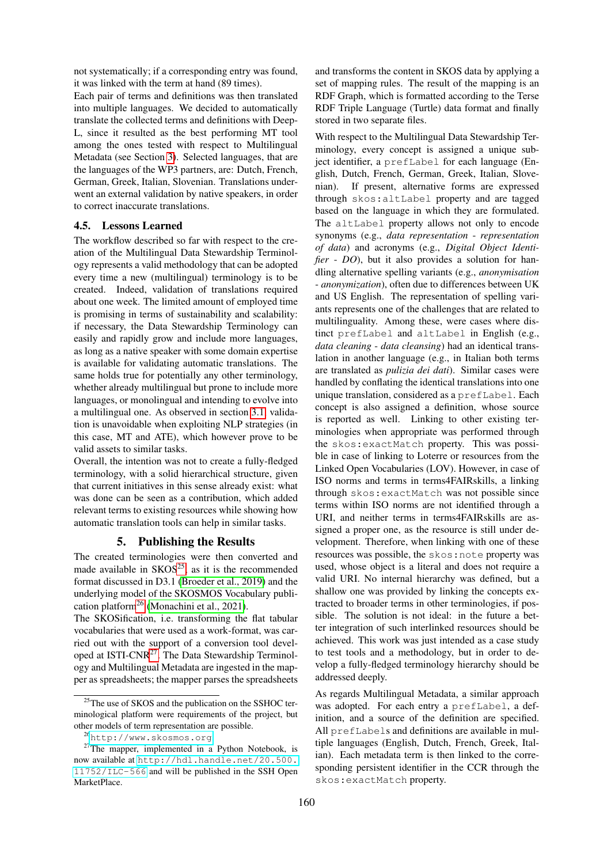not systematically; if a corresponding entry was found, it was linked with the term at hand (89 times).

Each pair of terms and definitions was then translated into multiple languages. We decided to automatically translate the collected terms and definitions with Deep-L, since it resulted as the best performing MT tool among the ones tested with respect to Multilingual Metadata (see Section [3\)](#page-1-0). Selected languages, that are the languages of the WP3 partners, are: Dutch, French, German, Greek, Italian, Slovenian. Translations underwent an external validation by native speakers, in order to correct inaccurate translations.

#### 4.5. Lessons Learned

The workflow described so far with respect to the creation of the Multilingual Data Stewardship Terminology represents a valid methodology that can be adopted every time a new (multilingual) terminology is to be created. Indeed, validation of translations required about one week. The limited amount of employed time is promising in terms of sustainability and scalability: if necessary, the Data Stewardship Terminology can easily and rapidly grow and include more languages, as long as a native speaker with some domain expertise is available for validating automatic translations. The same holds true for potentially any other terminology, whether already multilingual but prone to include more languages, or monolingual and intending to evolve into a multilingual one. As observed in section [3.1,](#page-2-8) validation is unavoidable when exploiting NLP strategies (in this case, MT and ATE), which however prove to be valid assets to similar tasks.

Overall, the intention was not to create a fully-fledged terminology, with a solid hierarchical structure, given that current initiatives in this sense already exist: what was done can be seen as a contribution, which added relevant terms to existing resources while showing how automatic translation tools can help in similar tasks.

## 5. Publishing the Results

<span id="page-6-0"></span>The created terminologies were then converted and made available in  $SKOS^{25}$  $SKOS^{25}$  $SKOS^{25}$ , as it is the recommended format discussed in D3.1 [\(Broeder et al., 2019\)](#page-8-18) and the underlying model of the SKOSMOS Vocabulary publication platform[26](#page-6-2) [\(Monachini et al., 2021\)](#page-8-19).

The SKOSification, i.e. transforming the flat tabular vocabularies that were used as a work-format, was carried out with the support of a conversion tool developed at ISTI-CNR[27](#page-6-3). The Data Stewardship Terminology and Multilingual Metadata are ingested in the mapper as spreadsheets; the mapper parses the spreadsheets and transforms the content in SKOS data by applying a set of mapping rules. The result of the mapping is an RDF Graph, which is formatted according to the Terse RDF Triple Language (Turtle) data format and finally stored in two separate files.

With respect to the Multilingual Data Stewardship Terminology, every concept is assigned a unique subject identifier, a prefLabel for each language (English, Dutch, French, German, Greek, Italian, Slovenian). If present, alternative forms are expressed through skos:altLabel property and are tagged based on the language in which they are formulated. The altLabel property allows not only to encode synonyms (e.g., *data representation* - *representation of data*) and acronyms (e.g., *Digital Object Identifier* - *DO*), but it also provides a solution for handling alternative spelling variants (e.g., *anonymisation* - *anonymization*), often due to differences between UK and US English. The representation of spelling variants represents one of the challenges that are related to multilinguality. Among these, were cases where distinct prefLabel and altLabel in English (e.g., *data cleaning* - *data cleansing*) had an identical translation in another language (e.g., in Italian both terms are translated as *pulizia dei dati*). Similar cases were handled by conflating the identical translations into one unique translation, considered as a prefLabel. Each concept is also assigned a definition, whose source is reported as well. Linking to other existing terminologies when appropriate was performed through the skos:exactMatch property. This was possible in case of linking to Loterre or resources from the Linked Open Vocabularies (LOV). However, in case of ISO norms and terms in terms4FAIRskills, a linking through skos:exactMatch was not possible since terms within ISO norms are not identified through a URI, and neither terms in terms4FAIRskills are assigned a proper one, as the resource is still under development. Therefore, when linking with one of these resources was possible, the skos:note property was used, whose object is a literal and does not require a valid URI. No internal hierarchy was defined, but a shallow one was provided by linking the concepts extracted to broader terms in other terminologies, if possible. The solution is not ideal: in the future a better integration of such interlinked resources should be achieved. This work was just intended as a case study to test tools and a methodology, but in order to develop a fully-fledged terminology hierarchy should be addressed deeply.

As regards Multilingual Metadata, a similar approach was adopted. For each entry a prefLabel, a definition, and a source of the definition are specified. All prefLabels and definitions are available in multiple languages (English, Dutch, French, Greek, Italian). Each metadata term is then linked to the corresponding persistent identifier in the CCR through the skos:exactMatch property.

<span id="page-6-1"></span> $25$ The use of SKOS and the publication on the SSHOC terminological platform were requirements of the project, but other models of term representation are possible.

<span id="page-6-3"></span><span id="page-6-2"></span><sup>26</sup><http://www.skosmos.org>.

 $27$ The mapper, implemented in a Python Notebook, is now available at [http://hdl.handle.net/20.500.](http://hdl.handle.net/20.500.11752/ILC-566) [11752/ILC-566](http://hdl.handle.net/20.500.11752/ILC-566) and will be published in the SSH Open MarketPlace.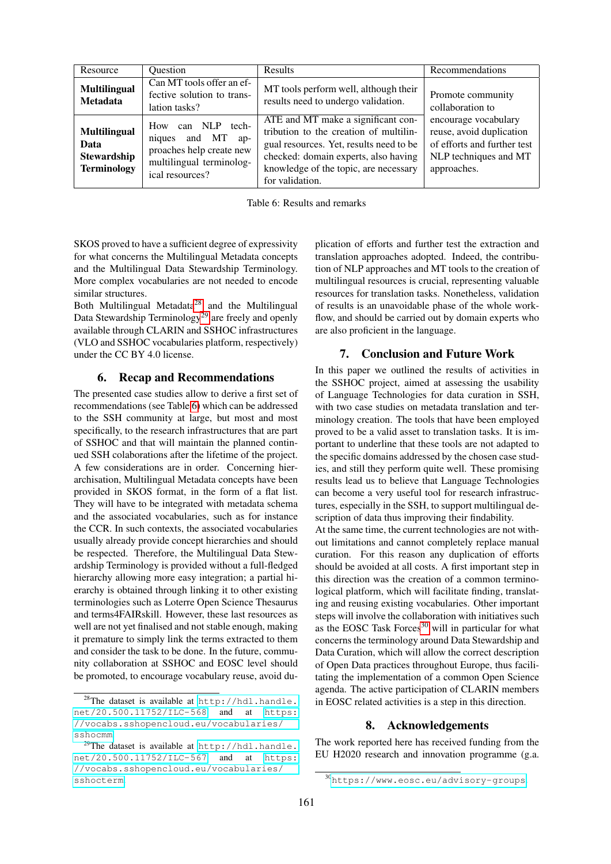| Resource                                                                | <b>Ouestion</b>                                                                                                           | Results                                                                                                                                                                                                                     | Recommendations                                                                                                         |
|-------------------------------------------------------------------------|---------------------------------------------------------------------------------------------------------------------------|-----------------------------------------------------------------------------------------------------------------------------------------------------------------------------------------------------------------------------|-------------------------------------------------------------------------------------------------------------------------|
| <b>Multilingual</b><br><b>Metadata</b>                                  | Can MT tools offer an ef-<br>fective solution to trans-<br>lation tasks?                                                  | MT tools perform well, although their<br>results need to undergo validation.                                                                                                                                                | Promote community<br>collaboration to                                                                                   |
| <b>Multilingual</b><br>Data<br><b>Stewardship</b><br><b>Terminology</b> | How can NLP tech-<br>and MT<br>niques<br>$ap-$<br>proaches help create new<br>multilingual terminolog-<br>ical resources? | ATE and MT make a significant con-<br>tribution to the creation of multilin-<br>gual resources. Yet, results need to be<br>checked: domain experts, also having<br>knowledge of the topic, are necessary<br>for validation. | encourage vocabulary<br>reuse, avoid duplication<br>of efforts and further test<br>NLP techniques and MT<br>approaches. |

<span id="page-7-2"></span>Table 6: Results and remarks

SKOS proved to have a sufficient degree of expressivity for what concerns the Multilingual Metadata concepts and the Multilingual Data Stewardship Terminology. More complex vocabularies are not needed to encode similar structures.

Both Multilingual Metadata<sup>[28](#page-7-0)</sup> and the Multilingual Data Stewardship Terminology<sup>[29](#page-7-1)</sup> are freely and openly available through CLARIN and SSHOC infrastructures (VLO and SSHOC vocabularies platform, respectively) under the CC BY 4.0 license.

# 6. Recap and Recommendations

The presented case studies allow to derive a first set of recommendations (see Table [6\)](#page-7-2) which can be addressed to the SSH community at large, but most and most specifically, to the research infrastructures that are part of SSHOC and that will maintain the planned continued SSH colaborations after the lifetime of the project. A few considerations are in order. Concerning hierarchisation, Multilingual Metadata concepts have been provided in SKOS format, in the form of a flat list. They will have to be integrated with metadata schema and the associated vocabularies, such as for instance the CCR. In such contexts, the associated vocabularies usually already provide concept hierarchies and should be respected. Therefore, the Multilingual Data Stewardship Terminology is provided without a full-fledged hierarchy allowing more easy integration; a partial hierarchy is obtained through linking it to other existing terminologies such as Loterre Open Science Thesaurus and terms4FAIRskill. However, these last resources as well are not yet finalised and not stable enough, making it premature to simply link the terms extracted to them and consider the task to be done. In the future, community collaboration at SSHOC and EOSC level should be promoted, to encourage vocabulary reuse, avoid duplication of efforts and further test the extraction and translation approaches adopted. Indeed, the contribution of NLP approaches and MT tools to the creation of multilingual resources is crucial, representing valuable resources for translation tasks. Nonetheless, validation of results is an unavoidable phase of the whole workflow, and should be carried out by domain experts who are also proficient in the language.

## 7. Conclusion and Future Work

In this paper we outlined the results of activities in the SSHOC project, aimed at assessing the usability of Language Technologies for data curation in SSH, with two case studies on metadata translation and terminology creation. The tools that have been employed proved to be a valid asset to translation tasks. It is important to underline that these tools are not adapted to the specific domains addressed by the chosen case studies, and still they perform quite well. These promising results lead us to believe that Language Technologies can become a very useful tool for research infrastructures, especially in the SSH, to support multilingual description of data thus improving their findability.

At the same time, the current technologies are not without limitations and cannot completely replace manual curation. For this reason any duplication of efforts should be avoided at all costs. A first important step in this direction was the creation of a common terminological platform, which will facilitate finding, translating and reusing existing vocabularies. Other important steps will involve the collaboration with initiatives such as the EOSC Task Forces<sup>[30](#page-7-3)</sup> will in particular for what concerns the terminology around Data Stewardship and Data Curation, which will allow the correct description of Open Data practices throughout Europe, thus facilitating the implementation of a common Open Science agenda. The active participation of CLARIN members in EOSC related activities is a step in this direction.

## 8. Acknowledgements

The work reported here has received funding from the EU H2020 research and innovation programme (g.a.

<span id="page-7-0"></span><sup>&</sup>lt;sup>28</sup>The dataset is available at [http://hdl.handle.](http://hdl.handle.net/20.500.11752/ILC-568) [net/20.500.11752/ILC-568](http://hdl.handle.net/20.500.11752/ILC-568) and at [https:](https://vocabs.sshopencloud.eu/vocabularies/sshocmm) [//vocabs.sshopencloud.eu/vocabularies/](https://vocabs.sshopencloud.eu/vocabularies/sshocmm) [sshocmm](https://vocabs.sshopencloud.eu/vocabularies/sshocmm).

<span id="page-7-1"></span><sup>&</sup>lt;sup>29</sup>The dataset is available at [http://hdl.handle.](http://hdl.handle.net/20.500.11752/ILC-567) [net/20.500.11752/ILC-567](http://hdl.handle.net/20.500.11752/ILC-567) and at [https:](https://vocabs.sshopencloud.eu/vocabularies/sshocterm) [//vocabs.sshopencloud.eu/vocabularies/](https://vocabs.sshopencloud.eu/vocabularies/sshocterm) [sshocterm](https://vocabs.sshopencloud.eu/vocabularies/sshocterm).

<span id="page-7-3"></span><sup>30</sup><https://www.eosc.eu/advisory-groups>.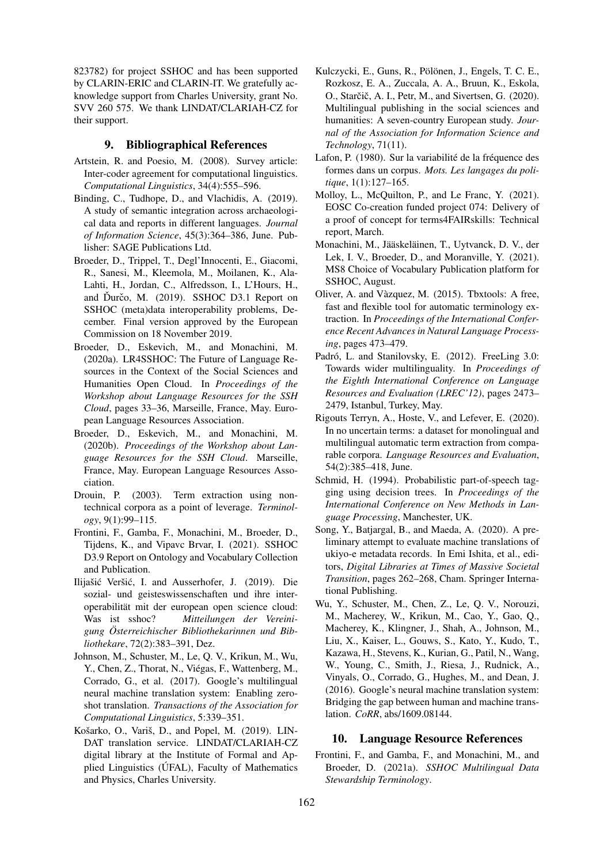823782) for project SSHOC and has been supported by CLARIN-ERIC and CLARIN-IT. We gratefully acknowledge support from Charles University, grant No. SVV 260 575. We thank LINDAT/CLARIAH-CZ for their support.

## 9. Bibliographical References

- <span id="page-8-17"></span>Artstein, R. and Poesio, M. (2008). Survey article: Inter-coder agreement for computational linguistics. *Computational Linguistics*, 34(4):555–596.
- <span id="page-8-5"></span>Binding, C., Tudhope, D., and Vlachidis, A. (2019). A study of semantic integration across archaeological data and reports in different languages. *Journal of Information Science*, 45(3):364–386, June. Publisher: SAGE Publications Ltd.
- <span id="page-8-18"></span>Broeder, D., Trippel, T., Degl'Innocenti, E., Giacomi, R., Sanesi, M., Kleemola, M., Moilanen, K., Ala-Lahti, H., Jordan, C., Alfredsson, I., L'Hours, H., and Durčo, M.  $(2019)$ . SSHOC D3.1 Report on SSHOC (meta)data interoperability problems, December. Final version approved by the European Commission on 18 November 2019.
- <span id="page-8-1"></span>Broeder, D., Eskevich, M., and Monachini, M. (2020a). LR4SSHOC: The Future of Language Resources in the Context of the Social Sciences and Humanities Open Cloud. In *Proceedings of the Workshop about Language Resources for the SSH Cloud*, pages 33–36, Marseille, France, May. European Language Resources Association.
- <span id="page-8-2"></span>Broeder, D., Eskevich, M., and Monachini, M. (2020b). *Proceedings of the Workshop about Language Resources for the SSH Cloud*. Marseille, France, May. European Language Resources Association.
- <span id="page-8-12"></span>Drouin, P. (2003). Term extraction using nontechnical corpora as a point of leverage. *Terminology*, 9(1):99–115.
- <span id="page-8-3"></span>Frontini, F., Gamba, F., Monachini, M., Broeder, D., Tijdens, K., and Vipavc Brvar, I. (2021). SSHOC D3.9 Report on Ontology and Vocabulary Collection and Publication.
- <span id="page-8-0"></span>Ilijašić Veršić, I. and Ausserhofer, J. (2019). Die sozial- und geisteswissenschaften und ihre interoperabilitat mit der european open science cloud: ¨ Was ist sshoc? *Mitteilungen der Vereinigung Osterreichischer Bibliothekarinnen und Bib- ¨ liothekare*, 72(2):383–391, Dez.
- <span id="page-8-10"></span>Johnson, M., Schuster, M., Le, Q. V., Krikun, M., Wu, Y., Chen, Z., Thorat, N., Viegas, F., Wattenberg, M., ´ Corrado, G., et al. (2017). Google's multilingual neural machine translation system: Enabling zeroshot translation. *Transactions of the Association for Computational Linguistics*, 5:339–351.
- <span id="page-8-8"></span>Košarko, O., Variš, D., and Popel, M. (2019). LIN-DAT translation service. LINDAT/CLARIAH-CZ digital library at the Institute of Formal and Applied Linguistics (ÚFAL), Faculty of Mathematics and Physics, Charles University.
- <span id="page-8-4"></span>Kulczycki, E., Guns, R., Pölönen, J., Engels, T. C. E., Rozkosz, E. A., Zuccala, A. A., Bruun, K., Eskola, O., Starčič, A. I., Petr, M., and Sivertsen, G. (2020). Multilingual publishing in the social sciences and humanities: A seven-country European study. *Journal of the Association for Information Science and Technology*, 71(11).
- <span id="page-8-15"></span>Lafon, P. (1980). Sur la variabilité de la fréquence des formes dans un corpus. *Mots. Les langages du politique*, 1(1):127–165.
- <span id="page-8-11"></span>Molloy, L., McQuilton, P., and Le Franc, Y. (2021). EOSC Co-creation funded project 074: Delivery of a proof of concept for terms4FAIRskills: Technical report, March.
- <span id="page-8-19"></span>Monachini, M., Jääskeläinen, T., Uytvanck, D. V., der Lek, I. V., Broeder, D., and Moranville, Y. (2021). MS8 Choice of Vocabulary Publication platform for SSHOC, August.
- <span id="page-8-13"></span>Oliver, A. and Vàzquez, M. (2015). Tbxtools: A free, fast and flexible tool for automatic terminology extraction. In *Proceedings of the International Conference Recent Advances in Natural Language Processing*, pages 473–479.
- <span id="page-8-16"></span>Padró, L. and Stanilovsky, E. (2012). FreeLing 3.0: Towards wider multilinguality. In *Proceedings of the Eighth International Conference on Language Resources and Evaluation (LREC'12)*, pages 2473– 2479, Istanbul, Turkey, May.
- <span id="page-8-7"></span>Rigouts Terryn, A., Hoste, V., and Lefever, E. (2020). In no uncertain terms: a dataset for monolingual and multilingual automatic term extraction from comparable corpora. *Language Resources and Evaluation*, 54(2):385–418, June.
- <span id="page-8-14"></span>Schmid, H. (1994). Probabilistic part-of-speech tagging using decision trees. In *Proceedings of the International Conference on New Methods in Language Processing*, Manchester, UK.
- <span id="page-8-6"></span>Song, Y., Batjargal, B., and Maeda, A. (2020). A preliminary attempt to evaluate machine translations of ukiyo-e metadata records. In Emi Ishita, et al., editors, *Digital Libraries at Times of Massive Societal Transition*, pages 262–268, Cham. Springer International Publishing.
- <span id="page-8-9"></span>Wu, Y., Schuster, M., Chen, Z., Le, Q. V., Norouzi, M., Macherey, W., Krikun, M., Cao, Y., Gao, Q., Macherey, K., Klingner, J., Shah, A., Johnson, M., Liu, X., Kaiser, L., Gouws, S., Kato, Y., Kudo, T., Kazawa, H., Stevens, K., Kurian, G., Patil, N., Wang, W., Young, C., Smith, J., Riesa, J., Rudnick, A., Vinyals, O., Corrado, G., Hughes, M., and Dean, J. (2016). Google's neural machine translation system: Bridging the gap between human and machine translation. *CoRR*, abs/1609.08144.

# 10. Language Resource References

Frontini, F., and Gamba, F., and Monachini, M., and Broeder, D. (2021a). *SSHOC Multilingual Data Stewardship Terminology*.